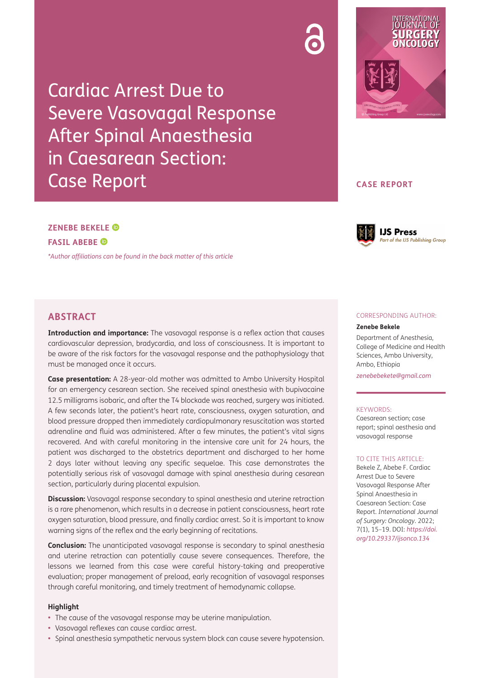Cardiac Arrest Due to Severe Vasovagal Response After Spinal Anaesthesia in Caesarean Section: Case Report



# **CASE REPORT**

# **ZENEBE BEKELE FASIL ABEBE**

*[\\*Author affiliations can be found in the back matter of this article](#page-3-0)*



# **ABSTRACT**

**Introduction and importance:** The vasovagal response is a reflex action that causes cardiovascular depression, bradycardia, and loss of consciousness. It is important to be aware of the risk factors for the vasovagal response and the pathophysiology that must be managed once it occurs.

**Case presentation:** A 28-year-old mother was admitted to Ambo University Hospital for an emergency cesarean section. She received spinal anesthesia with bupivacaine 12.5 milligrams isobaric, and after the T4 blockade was reached, surgery was initiated. A few seconds later, the patient's heart rate, consciousness, oxygen saturation, and blood pressure dropped then immediately cardiopulmonary resuscitation was started adrenaline and fluid was administered. After a few minutes, the patient's vital signs recovered. And with careful monitoring in the intensive care unit for 24 hours, the patient was discharged to the obstetrics department and discharged to her home 2 days later without leaving any specific sequelae. This case demonstrates the potentially serious risk of vasovagal damage with spinal anesthesia during cesarean section, particularly during placental expulsion.

**Discussion:** Vasovagal response secondary to spinal anesthesia and uterine retraction is a rare phenomenon, which results in a decrease in patient consciousness, heart rate oxygen saturation, blood pressure, and finally cardiac arrest. So it is important to know warning signs of the reflex and the early beginning of recitations.

**Conclusion:** The unanticipated vasovagal response is secondary to spinal anesthesia and uterine retraction can potentially cause severe consequences. Therefore, the lessons we learned from this case were careful history-taking and preoperative evaluation; proper management of preload, early recognition of vasovagal responses through careful monitoring, and timely treatment of hemodynamic collapse.

## **Highlight**

- The cause of the vasovagal response may be uterine manipulation.
- **•**  Vasovagal reflexes can cause cardiac arrest.
- **•**  Spinal anesthesia sympathetic nervous system block can cause severe hypotension.

#### CORRESPONDING AUTHOR:

#### **Zenebe Bekele**

Department of Anesthesia, College of Medicine and Health Sciences, Ambo University, Ambo, Ethiopia

*[zenebebekete@gmail.com](mailto:zenebebekete@gmail.com)*

#### KEYWORDS:

Caesarean section; case report; spinal aesthesia and vasovagal response

#### TO CITE THIS ARTICLE:

Bekele Z, Abebe F. Cardiac Arrest Due to Severe Vasovagal Response After Spinal Anaesthesia in Caesarean Section: Case Report. *International Journal of Surgery: Oncology*. 2022; 7(1), 15–19. DOI: *[https://doi.](https://doi.org/10.29337/ijsonco.134) [org/10.29337/ijsonco.134](https://doi.org/10.29337/ijsonco.134)*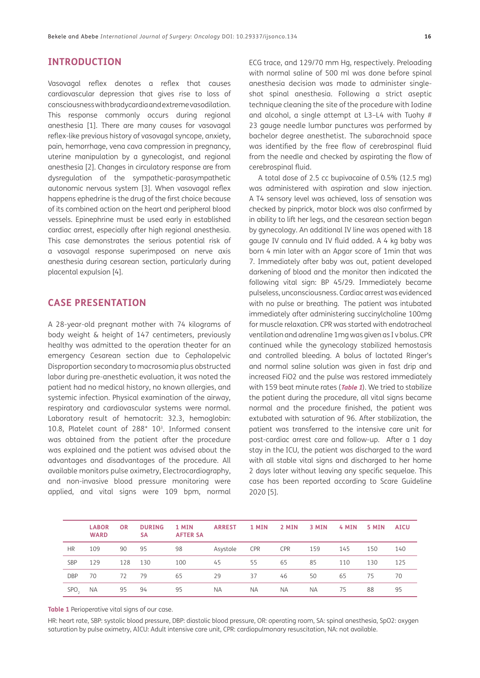## **INTRODUCTION**

Vasovagal reflex denotes a reflex that causes cardiovascular depression that gives rise to loss of consciousness with bradycardia and extreme vasodilation. This response commonly occurs during regional anesthesia [[1](#page-3-1)]. There are many causes for vasovagal reflex-like previous history of vasovagal syncope, anxiety, pain, hemorrhage, vena cava compression in pregnancy, uterine manipulation by a gynecologist, and regional anesthesia [[2\]](#page-3-1). Changes in circulatory response are from dysregulation of the sympathetic-parasympathetic autonomic nervous system [\[3](#page-3-1)]. When vasovagal reflex happens ephedrine is the drug of the first choice because of its combined action on the heart and peripheral blood vessels. Epinephrine must be used early in established cardiac arrest, especially after high regional anesthesia. This case demonstrates the serious potential risk of a vasovagal response superimposed on nerve axis anesthesia during cesarean section, particularly during placental expulsion [\[4\]](#page-3-1).

# **CASE PRESENTATION**

A 28-year-old pregnant mother with 74 kilograms of body weight & height of 147 centimeters, previously healthy was admitted to the operation theater for an emergency Cesarean section due to Cephalopelvic Disproportion secondary to macrosomia plus obstructed labor during pre-anesthetic evaluation, it was noted the patient had no medical history, no known allergies, and systemic infection. Physical examination of the airway, respiratory and cardiovascular systems were normal. Laboratory result of hematocrit: 32.3, hemoglobin: 10.8, Platelet count of 288\* 103. Informed consent was obtained from the patient after the procedure was explained and the patient was advised about the advantages and disadvantages of the procedure. All available monitors pulse oximetry, Electrocardiography, and non-invasive blood pressure monitoring were applied, and vital signs were 109 bpm, normal

ECG trace, and 129/70 mm Hg, respectively. Preloading with normal saline of 500 ml was done before spinal anesthesia decision was made to administer singleshot spinal anesthesia. Following a strict aseptic technique cleaning the site of the procedure with Iodine and alcohol, a single attempt at L3–L4 with Tuohy # 23 gauge needle lumbar punctures was performed by bachelor degree anesthetist. The subarachnoid space was identified by the free flow of cerebrospinal fluid from the needle and checked by aspirating the flow of cerebrospinal fluid.

A total dose of 2.5 cc bupivacaine of 0.5% (12.5 mg) was administered with aspiration and slow injection. A T4 sensory level was achieved, loss of sensation was checked by pinprick, motor block was also confirmed by in ability to lift her legs, and the cesarean section began by gynecology. An additional IV line was opened with 18 gauge IV cannula and IV fluid added. A 4 kg baby was born 4 min later with an Apgar score of 1min that was 7. Immediately after baby was out, patient developed darkening of blood and the monitor then indicated the following vital sign: BP 45/29. Immediately became pulseless, unconsciousness. Cardiac arrest was evidenced with no pulse or breathing. The patient was intubated immediately after administering succinylcholine 100mg for muscle relaxation. CPR was started with endotracheal ventilation and adrenaline 1mg was given as I v bolus. CPR continued while the gynecology stabilized hemostasis and controlled bleeding. A bolus of lactated Ringer's and normal saline solution was given in fast drip and increased FiO2 and the pulse was restored immediately with 159 beat minute rates (**[Table 1](#page-1-0)**). We tried to stabilize the patient during the procedure, all vital signs became normal and the procedure finished, the patient was extubated with saturation of 96. After stabilization, the patient was transferred to the intensive care unit for post-cardiac arrest care and follow-up. After a 1 day stay in the ICU, the patient was discharged to the ward with all stable vital signs and discharged to her home 2 days later without leaving any specific sequelae. This case has been reported according to Scare Guideline 2020 [[5](#page-3-1)].

|                  | <b>LABOR</b><br><b>WARD</b> | <b>OR</b> | <b>DURING</b><br><b>SA</b> | 1 MIN<br><b>AFTER SA</b> | <b>ARREST</b> | 1 MIN      | 2 MIN      | 3 MIN     | 4 MIN | 5 MIN | <b>AICU</b> |
|------------------|-----------------------------|-----------|----------------------------|--------------------------|---------------|------------|------------|-----------|-------|-------|-------------|
| <b>HR</b>        | 109                         | 90        | 95                         | 98                       | Asystole      | <b>CPR</b> | <b>CPR</b> | 159       | 145   | 150   | 140         |
| <b>SBP</b>       | 129                         | 128       | 130                        | 100                      | 45            | 55         | 65         | 85        | 110   | 130   | 125         |
| <b>DBP</b>       | 70                          | 72        | 79                         | 65                       | 29            | 37         | 46         | 50        | 65    | 75    | 70          |
| SPO <sub>2</sub> | <b>NA</b>                   | 95        | 94                         | 95                       | <b>NA</b>     | <b>NA</b>  | <b>NA</b>  | <b>NA</b> | 75    | 88    | 95          |

<span id="page-1-0"></span>**Table 1** Perioperative vital signs of our case.

HR: heart rate, SBP: systolic blood pressure, DBP: diastolic blood pressure, OR: operating room, SA: spinal anesthesia, SpO2: oxygen saturation by pulse oximetry, AICU: Adult intensive care unit, CPR: cardiopulmonary resuscitation, NA: not available.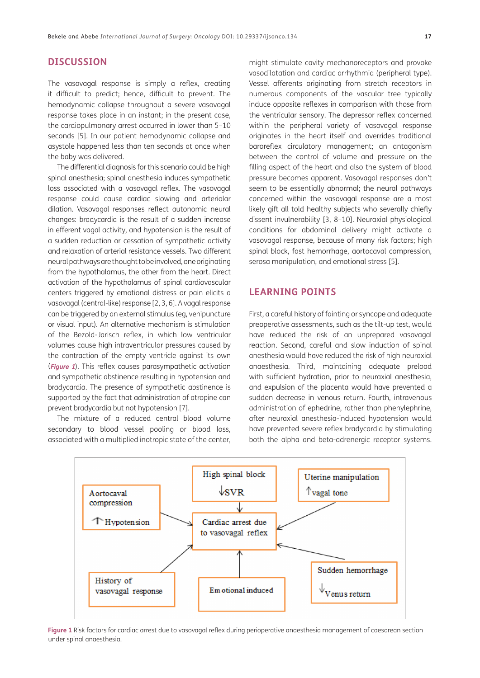## **DISCUSSION**

The vasovagal response is simply a reflex, creating it difficult to predict; hence, difficult to prevent. The hemodynamic collapse throughout a severe vasovagal response takes place in an instant; in the present case, the cardiopulmonary arrest occurred in lower than 5–10 seconds [[5\]](#page-3-1). In our patient hemodynamic collapse and asystole happened less than ten seconds at once when the baby was delivered.

The differential diagnosis for this scenario could be high spinal anesthesia; spinal anesthesia induces sympathetic loss associated with a vasovagal reflex. The vasovagal response could cause cardiac slowing and arteriolar dilation. Vasovagal responses reflect autonomic neural changes: bradycardia is the result of a sudden increase in efferent vagal activity, and hypotension is the result of a sudden reduction or cessation of sympathetic activity and relaxation of arterial resistance vessels. Two different neural pathways are thought to be involved, one originating from the hypothalamus, the other from the heart. Direct activation of the hypothalamus of spinal cardiovascular centers triggered by emotional distress or pain elicits a vasovagal (central-like) response [[2, 3](#page-3-1), [6](#page-3-1)]. A vagal response can be triggered by an external stimulus (eg, venipuncture or visual input). An alternative mechanism is stimulation of the Bezold-Jarisch reflex, in which low ventricular volumes cause high intraventricular pressures caused by the contraction of the empty ventricle against its own (**[Figure 1](#page-2-0)**). This reflex causes parasympathetic activation and sympathetic abstinence resulting in hypotension and bradycardia. The presence of sympathetic abstinence is supported by the fact that administration of atropine can prevent bradycardia but not hypotension [\[7](#page-3-1)].

The mixture of a reduced central blood volume secondary to blood vessel pooling or blood loss, associated with a multiplied inotropic state of the center,

might stimulate cavity mechanoreceptors and provoke vasodilatation and cardiac arrhythmia (peripheral type). Vessel afferents originating from stretch receptors in numerous components of the vascular tree typically induce opposite reflexes in comparison with those from the ventricular sensory. The depressor reflex concerned within the peripheral variety of vasovagal response originates in the heart itself and overrides traditional baroreflex circulatory management; an antagonism between the control of volume and pressure on the filling aspect of the heart and also the system of blood pressure becomes apparent. Vasovagal responses don't seem to be essentially abnormal; the neural pathways concerned within the vasovagal response are a most likely gift all told healthy subjects who severally chiefly dissent invulnerability [[3,](#page-3-1) [8](#page-4-0)–10]. Neuraxial physiological conditions for abdominal delivery might activate a vasovagal response, because of many risk factors; high spinal block, fast hemorrhage, aortocaval compression, serosa manipulation, and emotional stress [\[5](#page-3-1)].

# **LEARNING POINTS**

First, a careful history of fainting or syncope and adequate preoperative assessments, such as the tilt-up test, would have reduced the risk of an unprepared vasovagal reaction. Second, careful and slow induction of spinal anesthesia would have reduced the risk of high neuraxial anaesthesia. Third, maintaining adequate preload with sufficient hydration, prior to neuraxial anesthesia, and expulsion of the placenta would have prevented a sudden decrease in venous return. Fourth, intravenous administration of ephedrine, rather than phenylephrine, after neuraxial anesthesia-induced hypotension would have prevented severe reflex bradycardia by stimulating both the alpha and beta-adrenergic receptor systems.



<span id="page-2-0"></span>**Figure 1** Risk factors for cardiac arrest due to vasovagal reflex during perioperative anaesthesia management of caesarean section under spinal anaesthesia.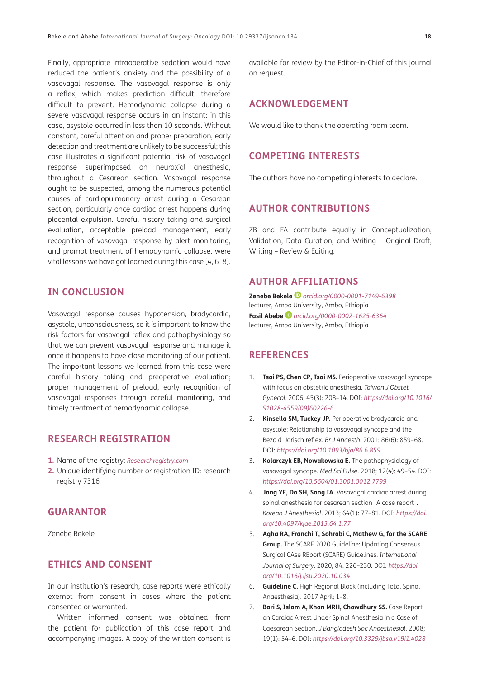<span id="page-3-1"></span>Finally, appropriate intraoperative sedation would have reduced the patient's anxiety and the possibility of a vasovagal response. The vasovagal response is only a reflex, which makes prediction difficult; therefore difficult to prevent. Hemodynamic collapse during a severe vasovagal response occurs in an instant; in this case, asystole occurred in less than 10 seconds. Without constant, careful attention and proper preparation, early detection and treatment are unlikely to be successful; this case illustrates a significant potential risk of vasovagal response superimposed on neuraxial anesthesia, throughout a Cesarean section. Vasovagal response ought to be suspected, among the numerous potential causes of cardiopulmonary arrest during a Cesarean section, particularly once cardiac arrest happens during placental expulsion. Careful history taking and surgical evaluation, acceptable preload management, early recognition of vasovagal response by alert monitoring, and prompt treatment of hemodynamic collapse, were vital lessons we have got learned during this case [4, 6[–8](#page-4-0)].

# **IN CONCLUSION**

Vasovagal response causes hypotension, bradycardia, asystole, unconsciousness, so it is important to know the risk factors for vasovagal reflex and pathophysiology so that we can prevent vasovagal response and manage it once it happens to have close monitoring of our patient. The important lessons we learned from this case were careful history taking and preoperative evaluation; proper management of preload, early recognition of vasovagal responses through careful monitoring, and timely treatment of hemodynamic collapse.

# **RESEARCH REGISTRATION**

- **1.** Name of the registry: *[Researchregistry.com](http://Researchregistry.com)*
- **2.** Unique identifying number or registration ID: research registry 7316

# **GUARANTOR**

Zenebe Bekele

# **ETHICS AND CONSENT**

In our institution's research, case reports were ethically exempt from consent in cases where the patient consented or warranted.

Written informed consent was obtained from the patient for publication of this case report and accompanying images. A copy of the written consent is

available for review by the Editor-in-Chief of this journal on request.

# **ACKNOWLEDGEMENT**

We would like to thank the operating room team.

# **COMPETING INTERESTS**

The authors have no competing interests to declare.

# **AUTHOR CONTRIBUTIONS**

ZB and FA contribute equally in Conceptualization, Validation, Data Curation, and Writing – Original Draft, Writing – Review & Editing.

# **AUTHOR AFFILIATIONS**

**Zenebe Bekele** *[orcid.org/0000-0001-7149-6398](https://orcid.org/0000-0001-7149-6398)* lecturer, Ambo University, Ambo, Ethiopia

**Fasil Abebe***[orcid.org/0000-0002-1625-6364](https://orcid.org/0000-0002-1625-6364)* lecturer, Ambo University, Ambo, Ethiopia

## <span id="page-3-0"></span>**REFERENCES**

- 1. **Tsai PS, Chen CP, Tsai MS.** Perioperative vasovagal syncope with focus on obstetric anesthesia. *Taiwan J Obstet Gynecol*. 2006; 45(3): 208–14. DOI: *[https://doi.org/10.1016/](https://doi.org/10.1016/S1028-4559(09)60226-6) [S1028-4559\(09\)60226-6](https://doi.org/10.1016/S1028-4559(09)60226-6)*
- 2. **Kinsella SM, Tuckey JP.** Perioperative bradycardia and asystole: Relationship to vasovagal syncope and the Bezold-Jarisch reflex. *Br J Anaesth*. 2001; 86(6): 859–68. DOI: *<https://doi.org/10.1093/bja/86.6.859>*
- 3. **Kolarczyk EB, Nowakowska E.** The pathophysiology of vasovagal syncope. *Med Sci Pulse*. 2018; 12(4): 49–54. DOI: *<https://doi.org/10.5604/01.3001.0012.7799>*
- 4. **Jang YE, Do SH, Song IA.** Vasovagal cardiac arrest during spinal anesthesia for cesarean section -A case report-. *Korean J Anesthesiol*. 2013; 64(1): 77–81. DOI: *[https://doi.](https://doi.org/10.4097/kjae.2013.64.1.77) [org/10.4097/kjae.2013.64.1.77](https://doi.org/10.4097/kjae.2013.64.1.77)*
- 5. **Agha RA, Franchi T, Sohrabi C, Mathew G, for the SCARE Group.** The SCARE 2020 Guideline: Updating Consensus Surgical CAse REport (SCARE) Guidelines. *International Journal of Surgery.* 2020; 84: 226–230. DOI: *[https://doi.](https://doi.org/10.1016/j.ijsu.2020.10.034) [org/10.1016/j.ijsu.2020.10.034](https://doi.org/10.1016/j.ijsu.2020.10.034)*
- 6. **Guideline C.** High Regional Block (including Total Spinal Anaesthesia). 2017 April; 1–8.
- 7. **Bari S, Islam A, Khan MRH, Chowdhury SS.** Case Report on Cardiac Arrest Under Spinal Anesthesia in a Case of Caesarean Section. *J Bangladesh Soc Anaesthesiol*. 2008; 19(1): 54–6. DOI: *<https://doi.org/10.3329/jbsa.v19i1.4028>*